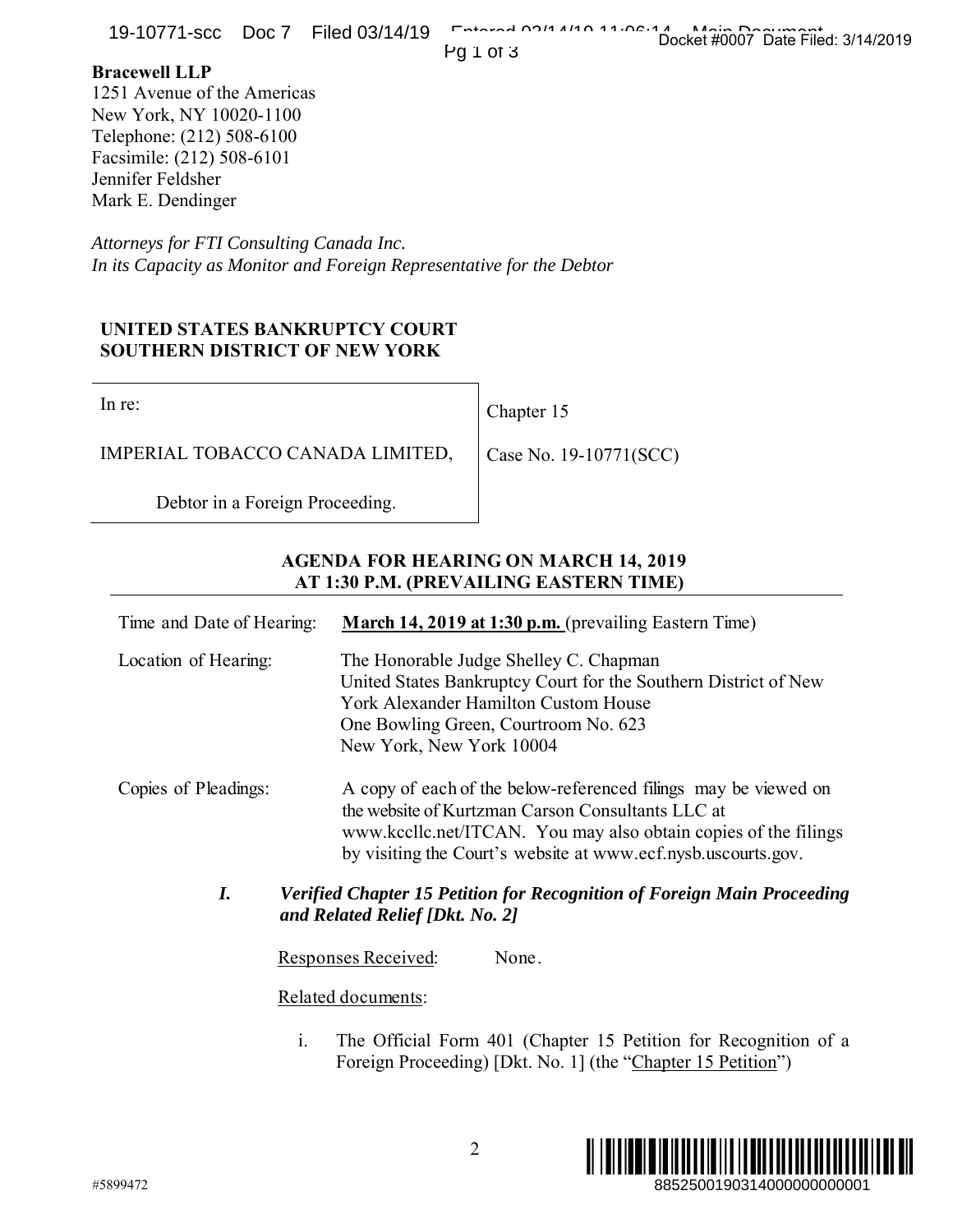## **Bracewell LLP**

## **UNITED STATES BANKRUPTCY COURT SOUTHERN DISTRICT OF NEW YORK**

## **AGENDA FOR HEARING ON MARCH 14, 2019 AT 1:30 P.M. (PREVAILING EASTERN TIME)**

| <b>IS-IOIII-SUU DUUI FIIEU USII4IIS</b>                                                                                                                                            |                                                                                                                                                                                                                                                          | Docket #0007 Date Filed: 3/14/2019                                                                                              |
|------------------------------------------------------------------------------------------------------------------------------------------------------------------------------------|----------------------------------------------------------------------------------------------------------------------------------------------------------------------------------------------------------------------------------------------------------|---------------------------------------------------------------------------------------------------------------------------------|
| <b>Bracewell LLP</b><br>1251 Avenue of the Americas<br>New York, NY 10020-1100<br>Telephone: (212) 508-6100<br>Facsimile: (212) 508-6101<br>Jennifer Feldsher<br>Mark E. Dendinger |                                                                                                                                                                                                                                                          | Pg 1 of 3                                                                                                                       |
| Attorneys for FTI Consulting Canada Inc.<br>In its Capacity as Monitor and Foreign Representative for the Debtor                                                                   |                                                                                                                                                                                                                                                          |                                                                                                                                 |
| UNITED STATES BANKRUPTCY COURT<br><b>SOUTHERN DISTRICT OF NEW YORK</b>                                                                                                             |                                                                                                                                                                                                                                                          |                                                                                                                                 |
| In re:                                                                                                                                                                             |                                                                                                                                                                                                                                                          | Chapter 15                                                                                                                      |
| IMPERIAL TOBACCO CANADA LIMITED,                                                                                                                                                   |                                                                                                                                                                                                                                                          | Case No. 19-10771(SCC)                                                                                                          |
| Debtor in a Foreign Proceeding.                                                                                                                                                    |                                                                                                                                                                                                                                                          |                                                                                                                                 |
|                                                                                                                                                                                    |                                                                                                                                                                                                                                                          | <b>AGENDA FOR HEARING ON MARCH 14, 2019</b><br>AT 1:30 P.M. (PREVAILING EASTERN TIME)                                           |
| Time and Date of Hearing:                                                                                                                                                          |                                                                                                                                                                                                                                                          | March 14, 2019 at 1:30 p.m. (prevailing Eastern Time)                                                                           |
| Location of Hearing:                                                                                                                                                               | The Honorable Judge Shelley C. Chapman<br>United States Bankruptcy Court for the Southern District of New<br>York Alexander Hamilton Custom House<br>One Bowling Green, Courtroom No. 623<br>New York, New York 10004                                    |                                                                                                                                 |
| Copies of Pleadings:                                                                                                                                                               | A copy of each of the below-referenced filings may be viewed on<br>the website of Kurtzman Carson Consultants LLC at<br>www.kccllc.net/ITCAN. You may also obtain copies of the filings<br>by visiting the Court's website at www.ecf.nysb.uscourts.gov. |                                                                                                                                 |
| I.<br><b>Verified Chapter 15 Petition for Recognition of Foreign Main Proceeding</b><br>and Related Relief [Dkt. No. 2]                                                            |                                                                                                                                                                                                                                                          |                                                                                                                                 |
| Responses Received:                                                                                                                                                                |                                                                                                                                                                                                                                                          | None.                                                                                                                           |
|                                                                                                                                                                                    | Related documents:                                                                                                                                                                                                                                       |                                                                                                                                 |
| i.                                                                                                                                                                                 |                                                                                                                                                                                                                                                          | The Official Form 401 (Chapter 15 Petition for Recognition of a<br>Foreign Proceeding) [Dkt. No. 1] (the "Chapter 15 Petition") |
| #5899472                                                                                                                                                                           |                                                                                                                                                                                                                                                          | 2<br>8852500190314000000000001                                                                                                  |

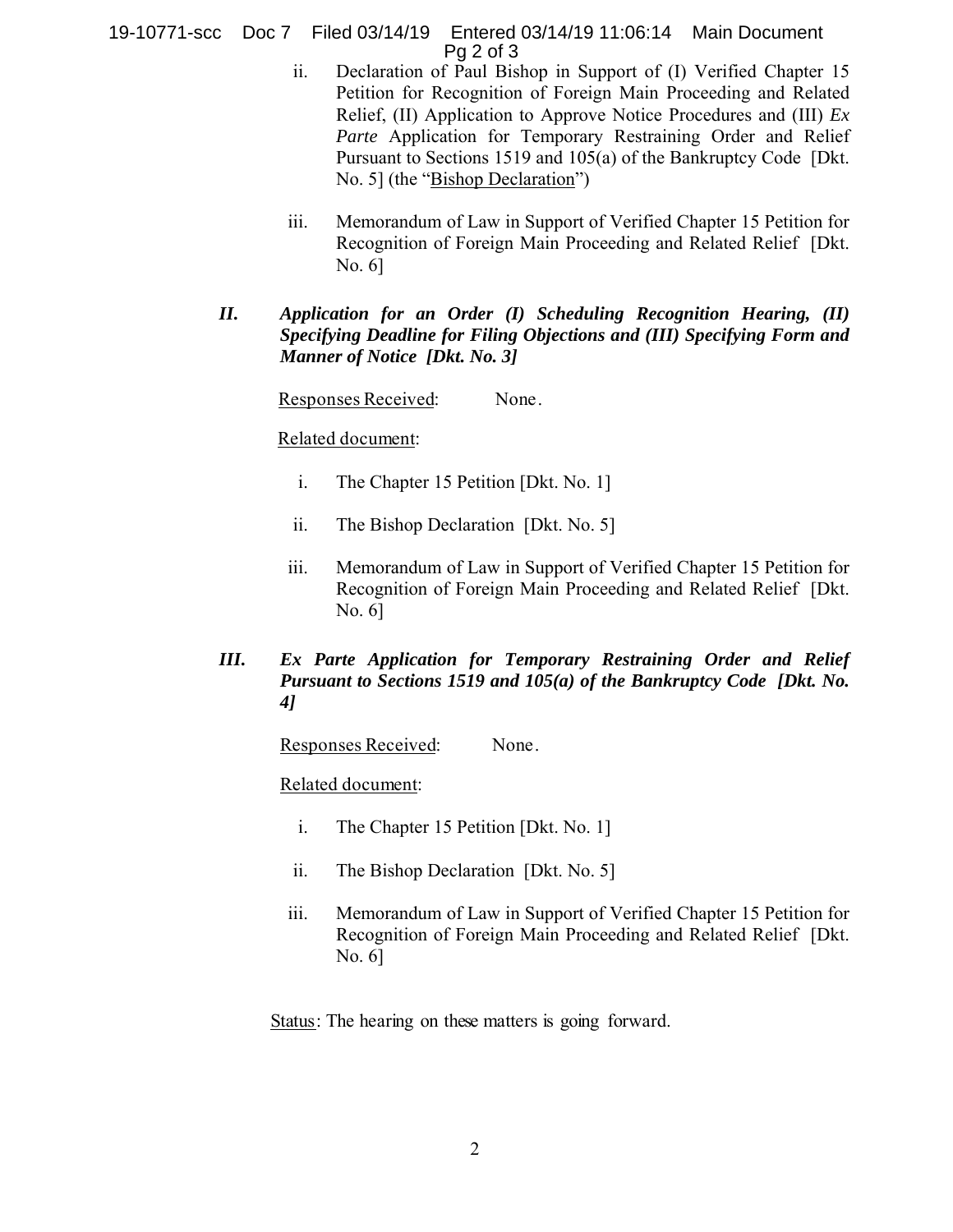19-10771-scc Doc 7 Filed 03/14/19 Entered 03/14/19 11:06:14 Main Document Pg 2 of 3

- ii. Declaration of Paul Bishop in Support of (I) Verified Chapter 15 Petition for Recognition of Foreign Main Proceeding and Related Relief, (II) Application to Approve Notice Procedures and (III) *Ex Parte* Application for Temporary Restraining Order and Relief Pursuant to Sections 1519 and 105(a) of the Bankruptcy Code [Dkt. No. 5] (the "Bishop Declaration")
- iii. Memorandum of Law in Support of Verified Chapter 15 Petition for Recognition of Foreign Main Proceeding and Related Relief [Dkt. No. 6]
- *II. Application for an Order (I) Scheduling Recognition Hearing, (II) Specifying Deadline for Filing Objections and (III) Specifying Form and Manner of Notice [Dkt. No. 3]*

Responses Received: None.

Related document:

- i. The Chapter 15 Petition [Dkt. No. 1]
- ii. The Bishop Declaration [Dkt. No. 5]
- iii. Memorandum of Law in Support of Verified Chapter 15 Petition for Recognition of Foreign Main Proceeding and Related Relief [Dkt. No. 6]
- *III. Ex Parte Application for Temporary Restraining Order and Relief Pursuant to Sections 1519 and 105(a) of the Bankruptcy Code [Dkt. No. 4]*

Responses Received: None.

Related document:

- i. The Chapter 15 Petition [Dkt. No. 1]
- ii. The Bishop Declaration [Dkt. No. 5]
- iii. Memorandum of Law in Support of Verified Chapter 15 Petition for Recognition of Foreign Main Proceeding and Related Relief [Dkt. No. 6]

Status: The hearing on these matters is going forward.